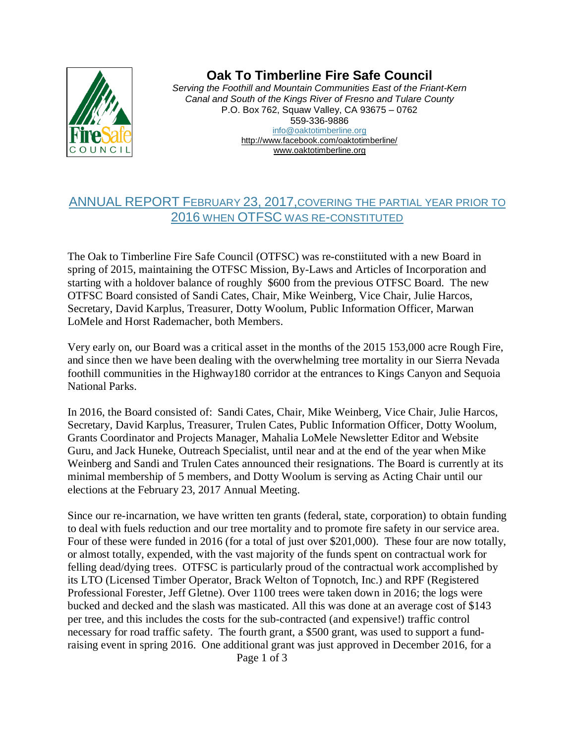

## **Oak To Timberline Fire Safe Council**

*Serving the Foothill and Mountain Communities East of the Friant-Kern Canal and South of the Kings River of Fresno and Tulare County* P.O. Box 762, Squaw Valley, CA 93675 – 0762 559-336-9886 info@oaktotimberline.org <http://www.facebook.com/oaktotimberline/> [www.oaktotimberline.org](http://www.oaktotimberline.org/)

## ANNUAL REPORT FEBRUARY 23, 2017,COVERING THE PARTIAL YEAR PRIOR TO 2016 WHEN OTFSC WAS RE-CONSTITUTED

The Oak to Timberline Fire Safe Council (OTFSC) was re-constiituted with a new Board in spring of 2015, maintaining the OTFSC Mission, By-Laws and Articles of Incorporation and starting with a holdover balance of roughly \$600 from the previous OTFSC Board. The new OTFSC Board consisted of Sandi Cates, Chair, Mike Weinberg, Vice Chair, Julie Harcos, Secretary, David Karplus, Treasurer, Dotty Woolum, Public Information Officer, Marwan LoMele and Horst Rademacher, both Members.

Very early on, our Board was a critical asset in the months of the 2015 153,000 acre Rough Fire, and since then we have been dealing with the overwhelming tree mortality in our Sierra Nevada foothill communities in the Highway180 corridor at the entrances to Kings Canyon and Sequoia National Parks.

In 2016, the Board consisted of: Sandi Cates, Chair, Mike Weinberg, Vice Chair, Julie Harcos, Secretary, David Karplus, Treasurer, Trulen Cates, Public Information Officer, Dotty Woolum, Grants Coordinator and Projects Manager, Mahalia LoMele Newsletter Editor and Website Guru, and Jack Huneke, Outreach Specialist, until near and at the end of the year when Mike Weinberg and Sandi and Trulen Cates announced their resignations. The Board is currently at its minimal membership of 5 members, and Dotty Woolum is serving as Acting Chair until our elections at the February 23, 2017 Annual Meeting.

Since our re-incarnation, we have written ten grants (federal, state, corporation) to obtain funding to deal with fuels reduction and our tree mortality and to promote fire safety in our service area. Four of these were funded in 2016 (for a total of just over \$201,000). These four are now totally, or almost totally, expended, with the vast majority of the funds spent on contractual work for felling dead/dying trees. OTFSC is particularly proud of the contractual work accomplished by its LTO (Licensed Timber Operator, Brack Welton of Topnotch, Inc.) and RPF (Registered Professional Forester, Jeff Gletne). Over 1100 trees were taken down in 2016; the logs were bucked and decked and the slash was masticated. All this was done at an average cost of \$143 per tree, and this includes the costs for the sub-contracted (and expensive!) traffic control necessary for road traffic safety. The fourth grant, a \$500 grant, was used to support a fundraising event in spring 2016. One additional grant was just approved in December 2016, for a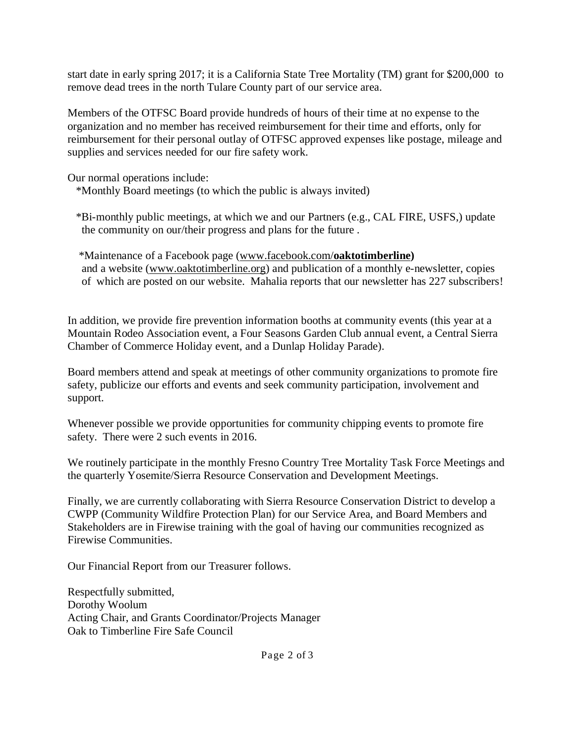start date in early spring 2017; it is a California State Tree Mortality (TM) grant for \$200,000 to remove dead trees in the north Tulare County part of our service area.

Members of the OTFSC Board provide hundreds of hours of their time at no expense to the organization and no member has received reimbursement for their time and efforts, only for reimbursement for their personal outlay of OTFSC approved expenses like postage, mileage and supplies and services needed for our fire safety work.

Our normal operations include:

\*Monthly Board meetings (to which the public is always invited)

 \*Bi-monthly public meetings, at which we and our Partners (e.g., CAL FIRE, USFS,) update the community on our/their progress and plans for the future .

 \*Maintenance of a Facebook page [\(www.facebook.com/](http://www.facebook.com/oaktotimberline)**oaktotimberline)** and a website [\(www.oaktotimberline.org\)](http://www.oaktotimberline.org/) and publication of a monthly e-newsletter, copies of which are posted on our website. Mahalia reports that our newsletter has 227 subscribers!

In addition, we provide fire prevention information booths at community events (this year at a Mountain Rodeo Association event, a Four Seasons Garden Club annual event, a Central Sierra Chamber of Commerce Holiday event, and a Dunlap Holiday Parade).

Board members attend and speak at meetings of other community organizations to promote fire safety, publicize our efforts and events and seek community participation, involvement and support.

Whenever possible we provide opportunities for community chipping events to promote fire safety. There were 2 such events in 2016.

We routinely participate in the monthly Fresno Country Tree Mortality Task Force Meetings and the quarterly Yosemite/Sierra Resource Conservation and Development Meetings.

Finally, we are currently collaborating with Sierra Resource Conservation District to develop a CWPP (Community Wildfire Protection Plan) for our Service Area, and Board Members and Stakeholders are in Firewise training with the goal of having our communities recognized as Firewise Communities.

Our Financial Report from our Treasurer follows.

Respectfully submitted, Dorothy Woolum Acting Chair, and Grants Coordinator/Projects Manager Oak to Timberline Fire Safe Council